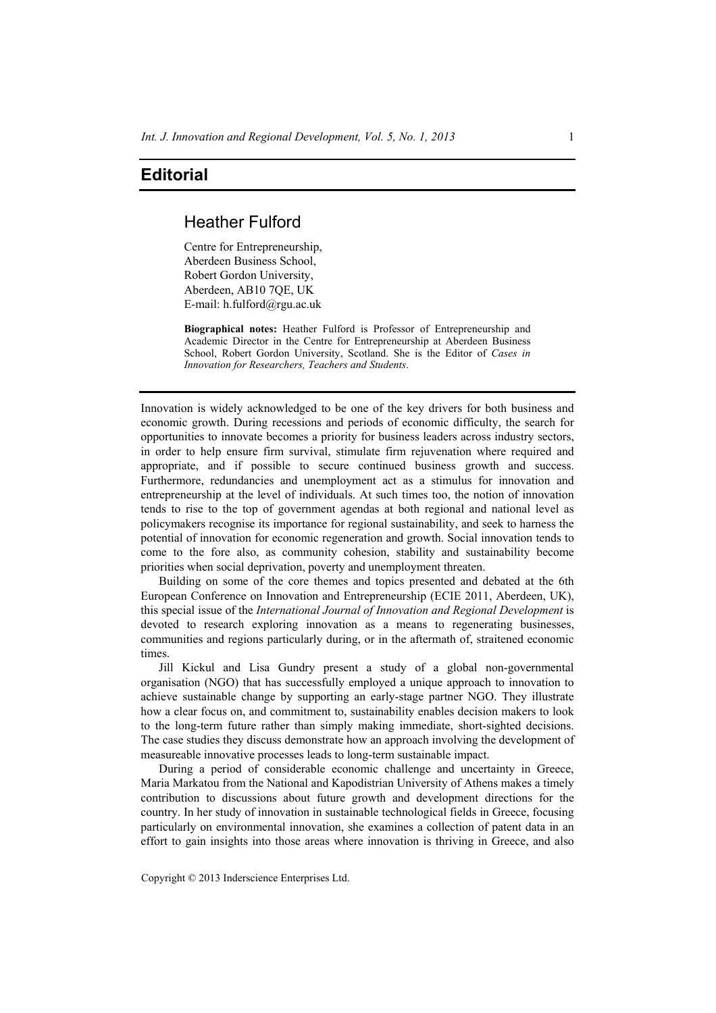## **Editorial**

## Heather Fulford

Centre for Entrepreneurship, Aberdeen Business School, Robert Gordon University, Aberdeen, AB10 7QE, UK E-mail: h.fulford@rgu.ac.uk

**Biographical notes:** Heather Fulford is Professor of Entrepreneurship and Academic Director in the Centre for Entrepreneurship at Aberdeen Business School, Robert Gordon University, Scotland. She is the Editor of *Cases in Innovation for Researchers, Teachers and Students*.

Innovation is widely acknowledged to be one of the key drivers for both business and economic growth. During recessions and periods of economic difficulty, the search for opportunities to innovate becomes a priority for business leaders across industry sectors, in order to help ensure firm survival, stimulate firm rejuvenation where required and appropriate, and if possible to secure continued business growth and success. Furthermore, redundancies and unemployment act as a stimulus for innovation and entrepreneurship at the level of individuals. At such times too, the notion of innovation tends to rise to the top of government agendas at both regional and national level as policymakers recognise its importance for regional sustainability, and seek to harness the potential of innovation for economic regeneration and growth. Social innovation tends to come to the fore also, as community cohesion, stability and sustainability become priorities when social deprivation, poverty and unemployment threaten.

Building on some of the core themes and topics presented and debated at the 6th European Conference on Innovation and Entrepreneurship (ECIE 2011, Aberdeen, UK), this special issue of the *International Journal of Innovation and Regional Development* is devoted to research exploring innovation as a means to regenerating businesses, communities and regions particularly during, or in the aftermath of, straitened economic times.

Jill Kickul and Lisa Gundry present a study of a global non-governmental organisation (NGO) that has successfully employed a unique approach to innovation to achieve sustainable change by supporting an early-stage partner NGO. They illustrate how a clear focus on, and commitment to, sustainability enables decision makers to look to the long-term future rather than simply making immediate, short-sighted decisions. The case studies they discuss demonstrate how an approach involving the development of measureable innovative processes leads to long-term sustainable impact.

During a period of considerable economic challenge and uncertainty in Greece, Maria Markatou from the National and Kapodistrian University of Athens makes a timely contribution to discussions about future growth and development directions for the country. In her study of innovation in sustainable technological fields in Greece, focusing particularly on environmental innovation, she examines a collection of patent data in an effort to gain insights into those areas where innovation is thriving in Greece, and also